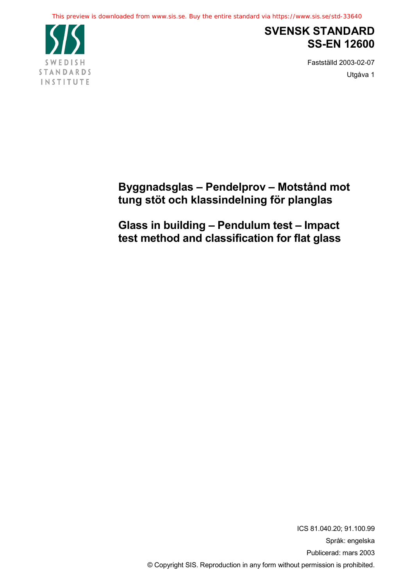This preview is downloaded from www.sis.se. Buy the entire standard via https://www.sis.se/std-33640



## **SVENSK STANDARD SS-EN 12600**

Fastställd 2003-02-07 Utgåva 1

## **Byggnadsglas – Pendelprov – Motstånd mot tung stöt och klassindelning för planglas**

**Glass in building – Pendulum test – Impact test method and classification for flat glass**

> ICS 81.040.20; 91.100.99 Språk: engelska Publicerad: mars 2003 © Copyright SIS. Reproduction in any form without permission is prohibited.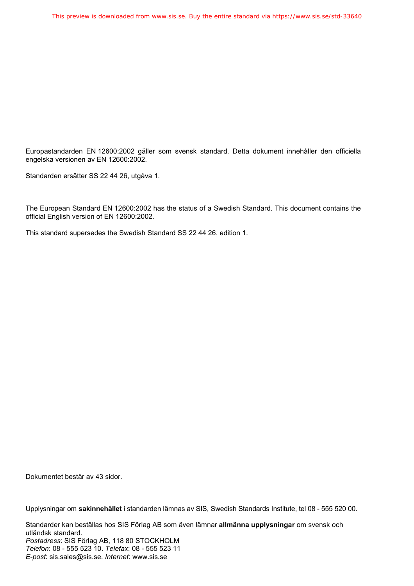Europastandarden EN 12600:2002 gäller som svensk standard. Detta dokument innehåller den officiella engelska versionen av EN 12600:2002.

Standarden ersätter SS 22 44 26, utgåva 1.

The European Standard EN 12600:2002 has the status of a Swedish Standard. This document contains the official English version of EN 12600:2002.

This standard supersedes the Swedish Standard SS 22 44 26, edition 1.

Dokumentet består av 43 sidor.

Upplysningar om **sakinnehållet** i standarden lämnas av SIS, Swedish Standards Institute, tel 08 - 555 520 00.

Standarder kan beställas hos SIS Förlag AB som även lämnar **allmänna upplysningar** om svensk och utländsk standard. *Postadress*: SIS Förlag AB, 118 80 STOCKHOLM *Telefon*: 08 - 555 523 10. *Telefax*: 08 - 555 523 11 *E-post*: sis.sales@sis.se. *Internet*: www.sis.se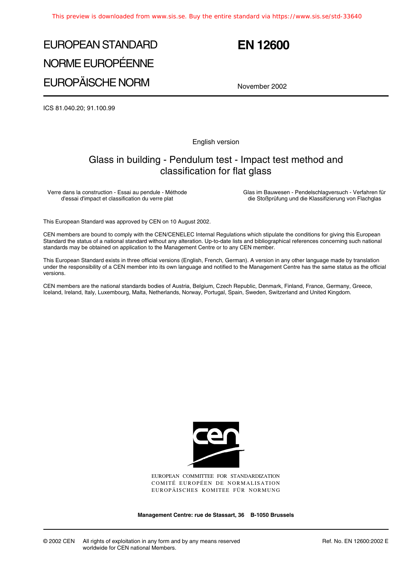# EUROPEAN STANDARD NORME EUROPÉENNE EUROPÄISCHE NORM

## **EN 12600**

November 2002

ICS 81.040.20; 91.100.99

English version

### Glass in building - Pendulum test - Impact test method and classification for flat glass

Verre dans la construction - Essai au pendule - Méthode d'essai d'impact et classification du verre plat

Glas im Bauwesen - Pendelschlagversuch - Verfahren für die Stoßprüfung und die Klassifizierung von Flachglas

This European Standard was approved by CEN on 10 August 2002.

CEN members are bound to comply with the CEN/CENELEC Internal Regulations which stipulate the conditions for giving this European Standard the status of a national standard without any alteration. Up-to-date lists and bibliographical references concerning such national standards may be obtained on application to the Management Centre or to any CEN member.

This European Standard exists in three official versions (English, French, German). A version in any other language made by translation under the responsibility of a CEN member into its own language and notified to the Management Centre has the same status as the official versions.

CEN members are the national standards bodies of Austria, Belgium, Czech Republic, Denmark, Finland, France, Germany, Greece, Iceland, Ireland, Italy, Luxembourg, Malta, Netherlands, Norway, Portugal, Spain, Sweden, Switzerland and United Kingdom.



EUROPEAN COMMITTEE FOR STANDARDIZATION COMITÉ EUROPÉEN DE NORMALISATION EUROPÄISCHES KOMITEE FÜR NORMUNG

**Management Centre: rue de Stassart, 36 B-1050 Brussels**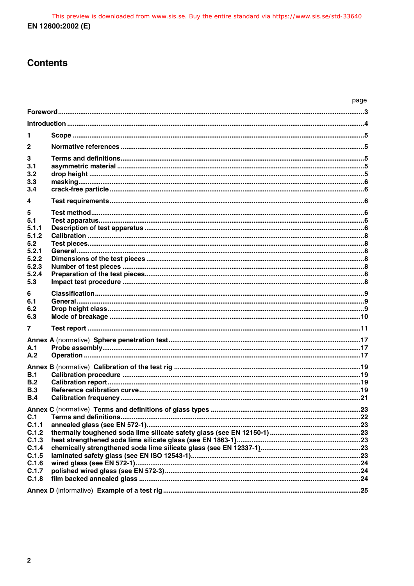## **Contents**

|                                         | page |     |  |  |
|-----------------------------------------|------|-----|--|--|
|                                         |      |     |  |  |
|                                         |      |     |  |  |
| 1                                       |      |     |  |  |
| $\mathbf{2}$                            |      |     |  |  |
| 3<br>3.1<br>3.2<br>3.3                  |      |     |  |  |
| 3.4                                     |      |     |  |  |
| 4                                       |      |     |  |  |
| 5<br>5.1<br>5.1.1                       |      |     |  |  |
| 5.1.2<br>5.2<br>5.2.1                   |      |     |  |  |
| 5.2.2<br>5.2.3<br>5.2.4<br>5.3          |      |     |  |  |
| 6<br>6.1<br>6.2<br>6.3                  |      |     |  |  |
| $\overline{7}$                          |      |     |  |  |
| A.1<br>A.2                              |      |     |  |  |
| B.1<br>B.2<br>B.3<br>B.4                |      |     |  |  |
| C.1<br>C.1.1<br>C.1.2<br>C.1.3<br>C.1.4 |      | .23 |  |  |
| C.1.5<br>C.1.6<br>C.1.7<br>C.1.8        |      |     |  |  |
|                                         |      |     |  |  |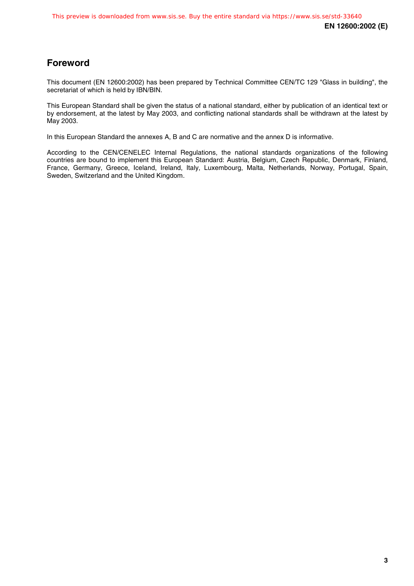## **Foreword**

This document (EN 12600:2002) has been prepared by Technical Committee CEN/TC 129 "Glass in building", the secretariat of which is held by IBN/BIN.

This European Standard shall be given the status of a national standard, either by publication of an identical text or by endorsement, at the latest by May 2003, and conflicting national standards shall be withdrawn at the latest by May 2003.

In this European Standard the annexes A, B and C are normative and the annex D is informative.

According to the CEN/CENELEC Internal Regulations, the national standards organizations of the following countries are bound to implement this European Standard: Austria, Belgium, Czech Republic, Denmark, Finland, France, Germany, Greece, Iceland, Ireland, Italy, Luxembourg, Malta, Netherlands, Norway, Portugal, Spain, Sweden, Switzerland and the United Kingdom.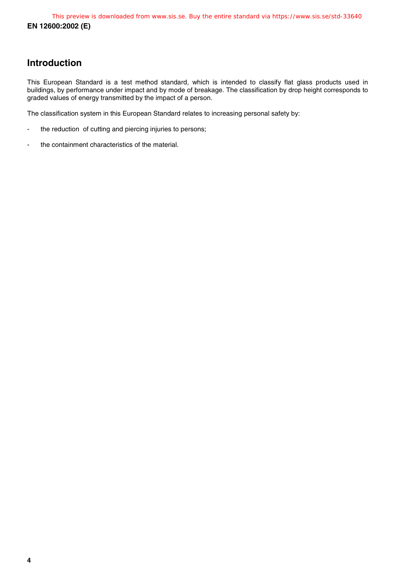### **Introduction**

This European Standard is a test method standard, which is intended to classify flat glass products used in buildings, by performance under impact and by mode of breakage. The classification by drop height corresponds to graded values of energy transmitted by the impact of a person.

The classification system in this European Standard relates to increasing personal safety by:

- the reduction of cutting and piercing injuries to persons;
- the containment characteristics of the material.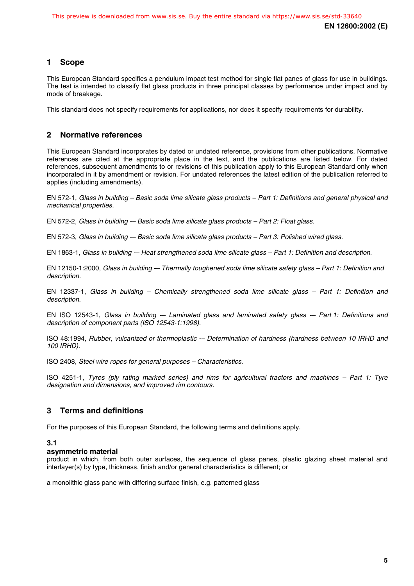#### **1 Scope**

This European Standard specifies a pendulum impact test method for single flat panes of glass for use in buildings. The test is intended to classify flat glass products in three principal classes by performance under impact and by mode of breakage.

This standard does not specify requirements for applications, nor does it specify requirements for durability.

#### **2 Normative references**

This European Standard incorporates by dated or undated reference, provisions from other publications. Normative references are cited at the appropriate place in the text, and the publications are listed below. For dated references, subsequent amendments to or revisions of this publication apply to this European Standard only when incorporated in it by amendment or revision. For undated references the latest edition of the publication referred to applies (including amendments).

EN 572-1, Glass in building – Basic soda lime silicate glass products – Part 1: Definitions and general physical and mechanical properties.

EN 572-2, Glass in building -– Basic soda lime silicate glass products – Part 2: Float glass.

EN 572-3, Glass in building -– Basic soda lime silicate glass products – Part 3: Polished wired glass.

EN 1863-1, Glass in building -– Heat strengthened soda lime silicate glass – Part 1: Definition and description.

EN 12150-1:2000, Glass in building -– Thermally toughened soda lime silicate safety glass – Part 1: Definition and description.

EN 12337-1, Glass in building – Chemically strengthened soda lime silicate glass – Part 1: Definition and description.

EN ISO 12543-1, Glass in building -- Laminated glass and laminated safety glass -- Part 1: Definitions and description of component parts (ISO 12543-1:1998).

ISO 48:1994, Rubber, vulcanized or thermoplastic -- Determination of hardness (hardness between 10 IRHD and 100 IRHD).

ISO 2408, Steel wire ropes for general purposes – Characteristics.

ISO 4251-1, Tyres (ply rating marked series) and rims for agricultural tractors and machines – Part 1: Tyre designation and dimensions, and improved rim contours.

#### **3 Terms and definitions**

For the purposes of this European Standard, the following terms and definitions apply.

#### **3.1**

#### **asymmetric material**

product in which, from both outer surfaces, the sequence of glass panes, plastic glazing sheet material and interlayer(s) by type, thickness, finish and/or general characteristics is different; or

a monolithic glass pane with differing surface finish, e.g. patterned glass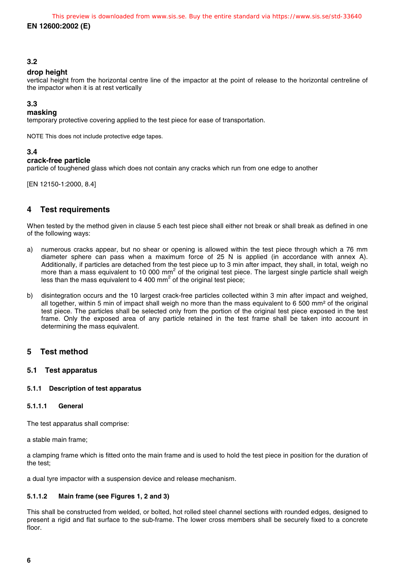#### **3.2**

#### **drop height**

vertical height from the horizontal centre line of the impactor at the point of release to the horizontal centreline of the impactor when it is at rest vertically

#### **3.3**

#### **masking**

temporary protective covering applied to the test piece for ease of transportation.

NOTE This does not include protective edge tapes.

#### **3.4**

#### **crack-free particle**

particle of toughened glass which does not contain any cracks which run from one edge to another

[EN 12150-1:2000, 8.4]

#### **4 Test requirements**

When tested by the method given in clause 5 each test piece shall either not break or shall break as defined in one of the following ways:

- a) numerous cracks appear, but no shear or opening is allowed within the test piece through which a 76 mm diameter sphere can pass when a maximum force of 25 N is applied (in accordance with annex A). Additionally, if particles are detached from the test piece up to 3 min after impact, they shall, in total, weigh no more than a mass equivalent to 10 000 mm<sup>2</sup> of the original test piece. The largest single particle shall weigh less than the mass equivalent to 4 400 mm<sup>2</sup> of the original test piece;
- b) disintegration occurs and the 10 largest crack-free particles collected within 3 min after impact and weighed, all together, within 5 min of impact shall weigh no more than the mass equivalent to 6 500 mm² of the original test piece. The particles shall be selected only from the portion of the original test piece exposed in the test frame. Only the exposed area of any particle retained in the test frame shall be taken into account in determining the mass equivalent.

#### **5 Test method**

#### **5.1 Test apparatus**

#### **5.1.1 Description of test apparatus**

#### **5.1.1.1 General**

The test apparatus shall comprise:

a stable main frame;

a clamping frame which is fitted onto the main frame and is used to hold the test piece in position for the duration of the test;

a dual tyre impactor with a suspension device and release mechanism.

#### **5.1.1.2 Main frame (see Figures 1, 2 and 3)**

This shall be constructed from welded, or bolted, hot rolled steel channel sections with rounded edges, designed to present a rigid and flat surface to the sub-frame. The lower cross members shall be securely fixed to a concrete floor.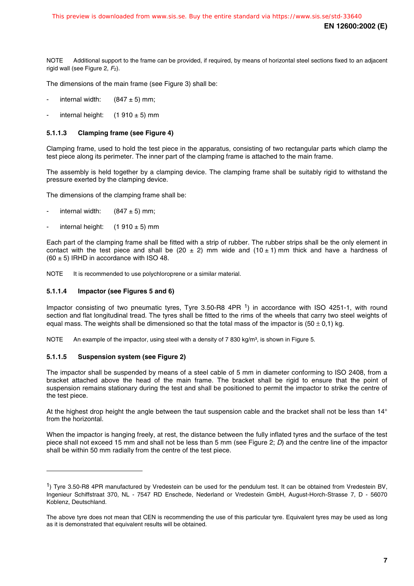NOTE Additional support to the frame can be provided, if required, by means of horizontal steel sections fixed to an adjacent rigid wall (see Figure 2,  $F_2$ ).

The dimensions of the main frame (see Figure 3) shall be:

- internal width:  $(847 \pm 5)$  mm;
- internal height:  $(1910 \pm 5)$  mm

#### **5.1.1.3 Clamping frame (see Figure 4)**

Clamping frame, used to hold the test piece in the apparatus, consisting of two rectangular parts which clamp the test piece along its perimeter. The inner part of the clamping frame is attached to the main frame.

The assembly is held together by a clamping device. The clamping frame shall be suitably rigid to withstand the pressure exerted by the clamping device.

The dimensions of the clamping frame shall be:

- internal width:  $(847 \pm 5)$  mm;
- internal height:  $(1910 \pm 5)$  mm

Each part of the clamping frame shall be fitted with a strip of rubber. The rubber strips shall be the only element in contact with the test piece and shall be (20  $\pm$  2) mm wide and (10  $\pm$  1) mm thick and have a hardness of  $(60 \pm 5)$  IRHD in accordance with ISO 48.

NOTE It is recommended to use polychloroprene or a similar material.

#### **5.1.1.4 Impactor (see Figures 5 and 6)**

Impactor consisting of two pneumatic tyres, Tyre 3.50-R8 4PR 1) in accordance with ISO 4251-1, with round section and flat longitudinal tread. The tyres shall be fitted to the rims of the wheels that carry two steel weights of equal mass. The weights shall be dimensioned so that the total mass of the impactor is  $(50 \pm 0.1)$  kg.

NOTE An example of the impactor, using steel with a density of  $7\,830\ \text{kg/m}^3$ , is shown in Figure 5.

#### **5.1.1.5 Suspension system (see Figure 2)**

1

The impactor shall be suspended by means of a steel cable of 5 mm in diameter conforming to ISO 2408, from a bracket attached above the head of the main frame. The bracket shall be rigid to ensure that the point of suspension remains stationary during the test and shall be positioned to permit the impactor to strike the centre of the test piece.

At the highest drop height the angle between the taut suspension cable and the bracket shall not be less than 14° from the horizontal.

When the impactor is hanging freely, at rest, the distance between the fully inflated tyres and the surface of the test piece shall not exceed 15 mm and shall not be less than 5 mm (see Figure 2; D) and the centre line of the impactor shall be within 50 mm radially from the centre of the test piece.

 $<sup>1</sup>$ ) Tyre 3.50-R8 4PR manufactured by Vredestein can be used for the pendulum test. It can be obtained from Vredestein BV,</sup> Ingenieur Schiffstraat 370, NL - 7547 RD Enschede, Nederland or Vredestein GmbH, August-Horch-Strasse 7, D - 56070 Koblenz, Deutschland.

The above tyre does not mean that CEN is recommending the use of this particular tyre. Equivalent tyres may be used as long as it is demonstrated that equivalent results will be obtained.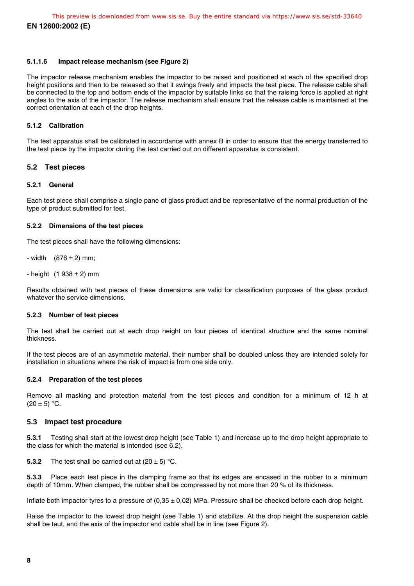#### **5.1.1.6 Impact release mechanism (see Figure 2)**

The impactor release mechanism enables the impactor to be raised and positioned at each of the specified drop height positions and then to be released so that it swings freely and impacts the test piece. The release cable shall be connected to the top and bottom ends of the impactor by suitable links so that the raising force is applied at right angles to the axis of the impactor. The release mechanism shall ensure that the release cable is maintained at the correct orientation at each of the drop heights.

#### **5.1.2 Calibration**

The test apparatus shall be calibrated in accordance with annex B in order to ensure that the energy transferred to the test piece by the impactor during the test carried out on different apparatus is consistent.

#### **5.2 Test pieces**

#### **5.2.1 General**

Each test piece shall comprise a single pane of glass product and be representative of the normal production of the type of product submitted for test.

#### **5.2.2 Dimensions of the test pieces**

The test pieces shall have the following dimensions:

- width  $(876 \pm 2)$  mm;

- height  $(1.938 \pm 2)$  mm

Results obtained with test pieces of these dimensions are valid for classification purposes of the glass product whatever the service dimensions.

#### **5.2.3 Number of test pieces**

The test shall be carried out at each drop height on four pieces of identical structure and the same nominal thickness.

If the test pieces are of an asymmetric material, their number shall be doubled unless they are intended solely for installation in situations where the risk of impact is from one side only.

#### **5.2.4 Preparation of the test pieces**

Remove all masking and protection material from the test pieces and condition for a minimum of 12 h at  $(20 \pm 5)$  °C.

#### **5.3 Impact test procedure**

**5.3.1** Testing shall start at the lowest drop height (see Table 1) and increase up to the drop height appropriate to the class for which the material is intended (see 6.2).

**5.3.2** The test shall be carried out at  $(20 \pm 5)$  °C.

**5.3.3** Place each test piece in the clamping frame so that its edges are encased in the rubber to a minimum depth of 10mm. When clamped, the rubber shall be compressed by not more than 20 % of its thickness.

Inflate both impactor tyres to a pressure of  $(0.35 \pm 0.02)$  MPa. Pressure shall be checked before each drop height.

Raise the impactor to the lowest drop height (see Table 1) and stabilize. At the drop height the suspension cable shall be taut, and the axis of the impactor and cable shall be in line (see Figure 2).